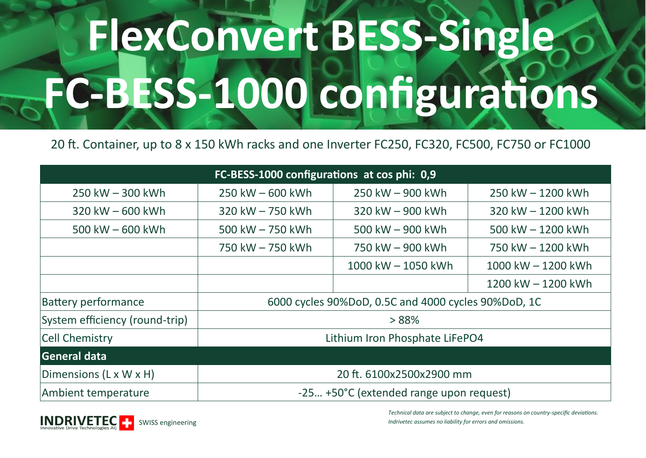## **FlexConvert BESS-Single FC-BESS-1000 configurations**

## 20 ft. Container, up to 8 x 150 kWh racks and one Inverter FC250, FC320, FC500, FC750 or FC1000

| FC-BESS-1000 configurations at cos phi: 0,9 |                                                     |                        |                        |  |
|---------------------------------------------|-----------------------------------------------------|------------------------|------------------------|--|
| $250$ kW $-$ 300 kWh                        | $250$ kW $-600$ kWh                                 | 250 kW - 900 kWh       | $250$ kW $- 1200$ kWh  |  |
| 320 kW - 600 kWh                            | 320 kW - 750 kWh                                    | $320$ kW $-$ 900 kWh   | 320 kW - 1200 kWh      |  |
| 500 kW $-$ 600 kWh                          | 500 kW $-$ 750 kWh                                  | 500 kW $-$ 900 kWh     | 500 kW $-$ 1200 kWh    |  |
|                                             | 750 kW - 750 kWh                                    | 750 kW - 900 kWh       | 750 kW - 1200 kWh      |  |
|                                             |                                                     | $1000$ kW $-$ 1050 kWh | $1000$ kW $- 1200$ kWh |  |
|                                             |                                                     |                        | 1200 kW - 1200 kWh     |  |
| <b>Battery performance</b>                  | 6000 cycles 90%DoD, 0.5C and 4000 cycles 90%DoD, 1C |                        |                        |  |
| System efficiency (round-trip)              | > 88%                                               |                        |                        |  |
| <b>Cell Chemistry</b>                       | Lithium Iron Phosphate LiFePO4                      |                        |                        |  |
| General data                                |                                                     |                        |                        |  |
| Dimensions (L x W x H)                      | 20 ft. 6100x2500x2900 mm                            |                        |                        |  |
| Ambient temperature                         | -25 +50°C (extended range upon request)             |                        |                        |  |



*Technical data are subject to change, even for reasons on country-specific deviations.*  SWISS engineering *Indrivetec assumes no liability for errors and omissions.*